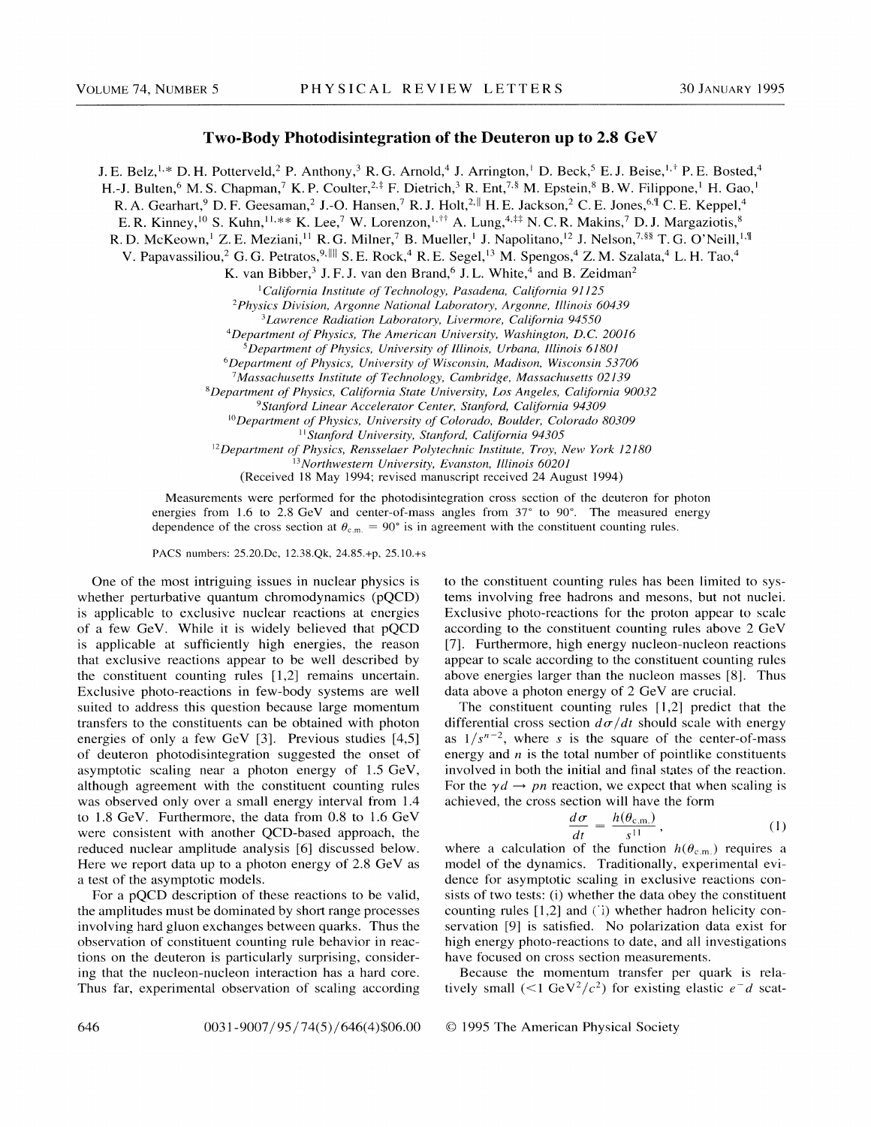## **Two-Body Photodisintegration of the Deuteron up to 2.8 GeV**

J. E. Belz, <sup>1,\*</sup> D. H. Potterveld,<sup>2</sup> P. Anthony,<sup>3</sup> R. G. Arnold,<sup>4</sup> J. Arrington,<sup>1</sup> D. Beck,<sup>5</sup> E. J. Beise, <sup>1,†</sup> P. E. Bosted,<sup>4</sup>

H.-J. Bulten,<sup>6</sup> M. S. Chapman,<sup>7</sup> K. P. Coulter,<sup>2,‡</sup> F. Dietrich,<sup>3</sup> R. Ent,<sup>7,§</sup> M. Epstein,<sup>8</sup> B. W. Filippone,<sup>1</sup> H. Gao,<sup>1</sup>

R. A. Gearhart,<sup>9</sup> D. F. Geesaman,<sup>2</sup> J.-O. Hansen,<sup>7</sup> R. J. Holt,<sup>2,||</sup> H. E. Jackson,<sup>2</sup> C. E. Jones,<sup>6,¶</sup> C. E. Keppel,<sup>4</sup>

E. R. Kinney, <sup>10</sup> S. Kuhn, <sup>11,\*\*</sup> K. Lee,<sup>7</sup> W. Lorenzon, <sup>1,††</sup> A. Lung,<sup>4,‡‡</sup> N. C. R. Makins,<sup>7</sup> D. J. Margaziotis,<sup>8</sup>

R. D. McKeown, <sup>1</sup> Z. E. Meziani, <sup>11</sup> R. G. Milner, <sup>7</sup> B. Mueller, <sup>1</sup> J. Napolitano, <sup>12</sup> J. Nelson, <sup>7, §§</sup> T. G. O'Neill, <sup>1, ¶</sup>

V. Papavassiliou,<sup>2</sup> G. G. Petratos,<sup>9,||||</sup> S. E. Rock,<sup>4</sup> R. E. Segel,<sup>13</sup> M. Spengos,<sup>4</sup> Z. M. Szalata,<sup>4</sup> L. H. Tao,<sup>4</sup>

K. van Bibber,<sup>3</sup> J. F. J. van den Brand,<sup>6</sup> J. L. White,<sup>4</sup> and B. Zeidman<sup>2</sup>

*'California Institute of Technology, Pasadena, California 91125* 

<sup>2</sup>*Physics Division, Argonne National Laboratory, Argonne, Illinois 60439* 

<sup>3</sup>*Lawrence Radiation Laboratory, Livermore, California 94550* 

<sup>4</sup>*Department of Physics, The American University, Washington, D.C. 20016 5Department of Physics, University of Illinois, Urbana, Illinois 61801* 

6*Department of Physics, University of Wisconsin, Madison, Wisconsin 53706* 

<sup>7</sup>*Massachusetts Institute of Technology, Cambridge, Massachusetts 02139* 

*8Department of Physics, California State University, Los Angeles, California 90032* 

9 *Stanford Linear Accelerator Center, Stanford, California 94309* 

<sup>10</sup>*Department of Physics, University of Colorado, Boulder, Colorado 80309* 

*"Stanford University, Stanford, California 94305* 

12*Department of Physics, Rensselaer Polytechnic Institute, Troy, New York 12180* 

<sup>13</sup>*Northwestern University, Evanston, Illinois 60201* 

(Received 18 May 1994; revised manuscript received 24 August 1994)

Measurements were performed for the photodisintegration cross section of the deuteron for photon energies from 1.6 to 2.8 GeV and center-of-mass angles from 37" to 90°. The measured energy dependence of the cross section at  $\theta_{c.m.} = 90^\circ$  is in agreement with the constituent counting rules.

PACS numbers: 25.20.Dc, 12.38.Qk, 24.85.+p, 25.10.+s

One of the most intriguing issues in nuclear physics is whether perturbative quantum chromodynamics (pQCD) is applicable to exclusive nuclear reactions at energies of a few GeV. While it is widely believed that pQCD is applicable at sufficiently high energies, the reason that exclusive reactions appear to be well described by the constituent counting rules [1,2] remains uncertain. Exclusive photo-reactions in few-body systems are well suited to address this question because large momentum transfers to the constituents can be obtained with photon energies of only a few GeV [3]. Previous studies [4,5] of deuteron photodisintegration suggested the onset of asymptotic scaling near a photon energy of 1.5 GeV, although agreement with the constituent counting rules was observed only over a small energy interval from 1.4 to 1.8 GeV. Furthermore, the data from 0.8 to 1.6 GeV were consistent with another QCD-based approach, the reduced nuclear amplitude analysis [6] discussed below. Here we report data up to a photon energy of 2.8 GeV as a test of the asymptotic models.

For a pQCD description of these reactions to be valid, the amplitudes must be dominated by short range processes involving hard gluon exchanges between quarks. Thus the observation of constituent counting rule behavior in reactions on the deuteron is particularly surprising, considering that the nucleon-nucleon interaction has a hard core. Thus far, experimental observation of scaling according to the constituent counting rules has been limited to systems involving free hadrons and mesons, but not nuclei. Exclusive photo-reactions for the proton appear to scale according to the constituent counting rules above 2 GeV [7]. Furthermore, high energy nucleon-nucleon reactions appear to scale according to the constituent counting rules above energies larger than the nucleon masses [8]. Thus data above a photon energy of  $2 \text{ GeV}$  are crucial.

The constituent counting rules  $[1,2]$  predict that the differential cross section  $d\sigma/dt$  should scale with energy as  $1/s^{n-2}$ , where *s* is the square of the center-of-mass energy and *n* is the total number of pointlike constituents involved in both the initial and final states of the reaction. For the  $\gamma d \rightarrow pn$  reaction, we expect that when scaling is

$$
\frac{d\sigma}{dt} = \frac{h(\theta_{\text{c.m.}})}{s^{11}},\tag{1}
$$

where a calculation of the function  $h(\theta_{c,m})$  requires a model of the dynamics. Traditionally, experimental evidence for asymptotic scaling in exclusive reactions consists of two tests: (i) whether the data obey the constituent counting rules [1,2] and ('i) whether hadron helicity conservation [9] is satisfied. No polarization data exist for high energy photo-reactions to date, and all investigations have focused on cross section measurements.

Because the momentum transfer per quark is relatively small  $(<1 \text{ GeV}^2/c^2)$  for existing elastic  $e^-d$  scat-

## © 1995 The American Physical Society

achieved, the cross section will have the form<br>  $\frac{d\sigma}{dt} = \frac{h(\theta_{\text{c.m.}})}{s^{11}},$ (1)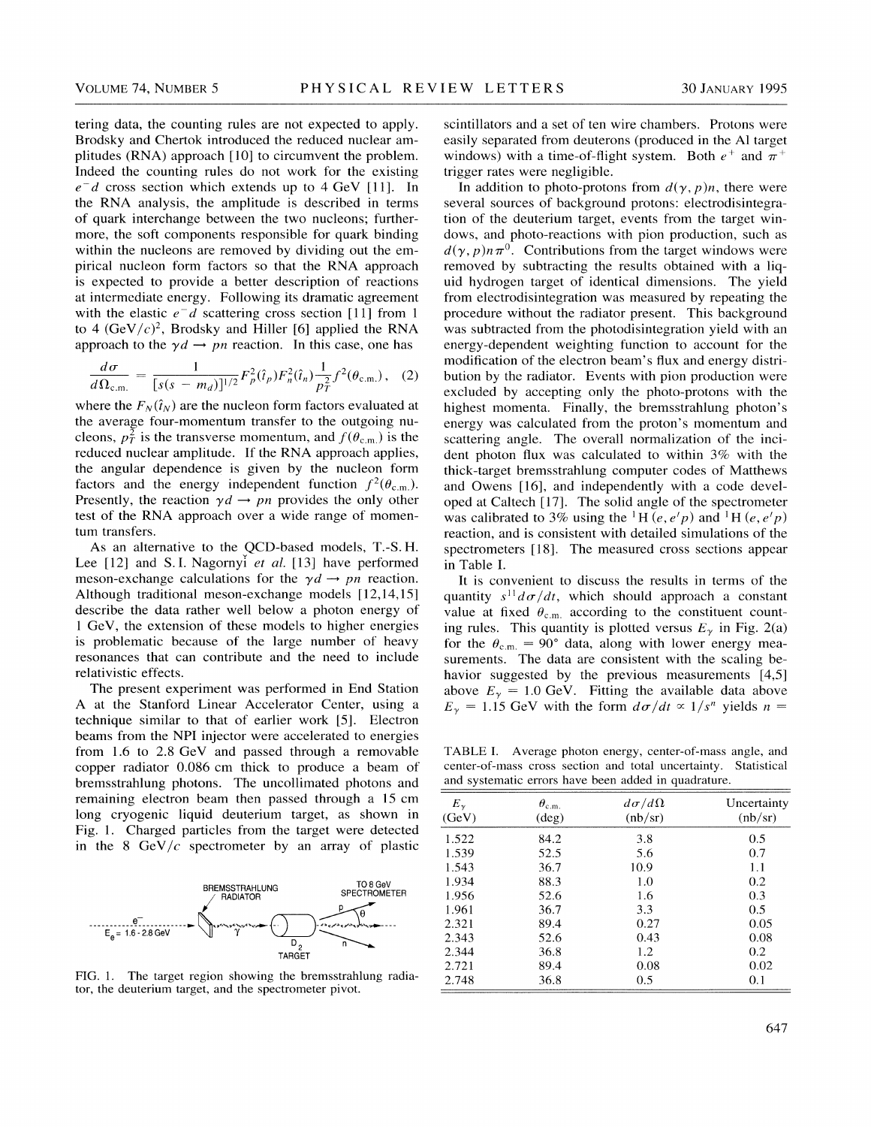tering data, the counting rules are not expected to apply. Brodsky and Chertok introduced the reduced nuclear amplitudes (RNA) approach [10] to circumvent the problem. Indeed the counting rules do not work for the existing *e-* d cross section which extends up to 4 GeV [II]. In the RNA analysis, the amplitude is described in terms of quark interchange between the two nucleons; furthermore, the soft components responsible for quark binding within the nucleons are removed by dividing out the empirical nucleon form factors so that the RNA approach is expected to provide a better description of reactions at intermediate energy. Following its dramatic agreement with the elastic  $e^- d$  scattering cross section [11] from 1 to 4  $(GeV/c)^2$ , Brodsky and Hiller [6] applied the RNA approach to the  $\gamma d \rightarrow pn$  reaction. In this case, one has

$$
\frac{d\sigma}{d\Omega_{\text{c.m.}}} = \frac{1}{[s(s - m_d)]^{1/2}} F_p^2(\hat{t}_p) F_n^2(\hat{t}_n) \frac{1}{p_T^2} f^2(\theta_{\text{c.m.}}), \quad (2)
$$

where the  $F_N(\hat{t}_N)$  are the nucleon form factors evaluated at the average four-momentum transfer to the outgoing nucleons,  $p_T^2$  is the transverse momentum, and  $f(\theta_{c.m.})$  is the reduced nuclear amplitude. If the RNA approach applies, the angular dependence is given by the nucleon form factors and the energy independent function  $f^2(\theta_{\text{c.m.}})$ . Presently, the reaction  $\gamma d \rightarrow pn$  provides the only other test of the RNA approach over a wide range of momentum transfers.

As an alternative to the QCD-based models, T.-S. H. Lee [12] and S.I. Nagornyi *et al.* [13] have performed meson-exchange calculations for the  $\gamma d \rightarrow pn$  reaction. Although traditional meson-exchange models [12,14,15] describe the data rather well below a photon energy of 1 GeV, the extension of these models to higher energies is problematic because of the large number of heavy resonances that can contribute and the need to include relativistic effects.

The present experiment was performed in End Station A at the Stanford Linear Accelerator Center, using a technique similar to that of earlier work [5]. Electron beams from the NPI injector were accelerated to energies from 1.6 to 2.8 GeV and passed through a removable copper radiator 0.086 em thick to produce a beam of bremsstrahlung photons. The uncollimated photons and remaining electron beam then passed through a 15 em long cryogenic liquid deuterium target, as shown in Fig. 1. Charged particles from the target were detected in the 8 GeV/ $c$  spectrometer by an array of plastic



FIG. 1. The target region showing the bremsstrahlung radiator, the deuterium target, and the spectrometer pivot.

scintillators and a set of ten wire chambers. Protons were easily separated from deuterons (produced in the AI target windows) with a time-of-flight system. Both  $e^+$  and  $\pi^+$ trigger rates were negligible.

In addition to photo-protons from  $d(\gamma, p)n$ , there were several sources of background protons: electrodisintegration of the deuterium target, events from the target windows, and photo-reactions with pion production, such as  $d(\gamma, p)n\pi^0$ . Contributions from the target windows were removed by subtracting the results obtained with a liquid hydrogen target of identical dimensions. The yield from electrodisintegration was measured by repeating the procedure without the radiator present. This background was subtracted from the photodisintegration yield with an energy-dependent weighting function to account for the modification of the electron beam's flux and energy distribution by the radiator. Events with pion production were excluded by accepting only the photo-protons with the highest momenta. Finally, the bremsstrahlung photon's energy was calculated from the proton's momentum and scattering angle. The overall normalization of the incident photon flux was calculated to within 3% with the thick-target bremsstrahlung computer codes of Matthews and Owens [16], and independently with a code developed at Caltech [17]. The solid angle of the spectrometer was calibrated to 3% using the <sup>1</sup>H  $(e, e/p)$  and <sup>1</sup>H  $(e, e/p)$ reaction, and is consistent with detailed simulations of the spectrometers [18]. The measured cross sections appear in Table I.

It is convenient to discuss the results in terms of the quantity  $s^{11} d\sigma/dt$ , which should approach a constant value at fixed  $\theta_{\text{c.m.}}$  according to the constituent counting rules. This quantity is plotted versus  $E<sub>\gamma</sub>$  in Fig. 2(a) for the  $\theta_{\rm c.m.} = 90^{\circ}$  data, along with lower energy measurements. The data are consistent with the scaling behavior suggested by the previous measurements [4,5] above  $E_y = 1.0$  GeV. Fitting the available data above  $E_{\gamma} = 1.15$  GeV with the form  $d\sigma/dt \propto 1/s^n$  yields  $n =$ 

TABLE I. Average photon energy, center-of-mass angle, and center-of-mass cross section and total uncertainty. Statistical and systematic errors have been added in quadrature.

| $E_{\gamma}$<br>(GeV) | $\theta_{\rm c.m.}$<br>$(\text{deg})$ | $d\sigma/d\Omega$<br>(hb/sr) | Uncertainty<br>(hb/sr) |
|-----------------------|---------------------------------------|------------------------------|------------------------|
| 1.522                 | 84.2                                  | 3.8                          | 0.5                    |
| 1.539                 | 52.5                                  | 5.6                          | 0.7                    |
| 1.543                 | 36.7                                  | 10.9                         | 1.1                    |
| 1.934                 | 88.3                                  | 1.0                          | 0.2                    |
| 1.956                 | 52.6                                  | 1.6                          | 0.3                    |
| 1.961                 | 36.7                                  | 3.3                          | 0.5                    |
| 2.321                 | 89.4                                  | 0.27                         | 0.05                   |
| 2.343                 | 52.6                                  | 0.43                         | 0.08                   |
| 2.344                 | 36.8                                  | 1.2                          | 0.2                    |
| 2.721                 | 89.4                                  | 0.08                         | 0.02                   |
| 2.748                 | 36.8                                  | 0.5                          | 0.1                    |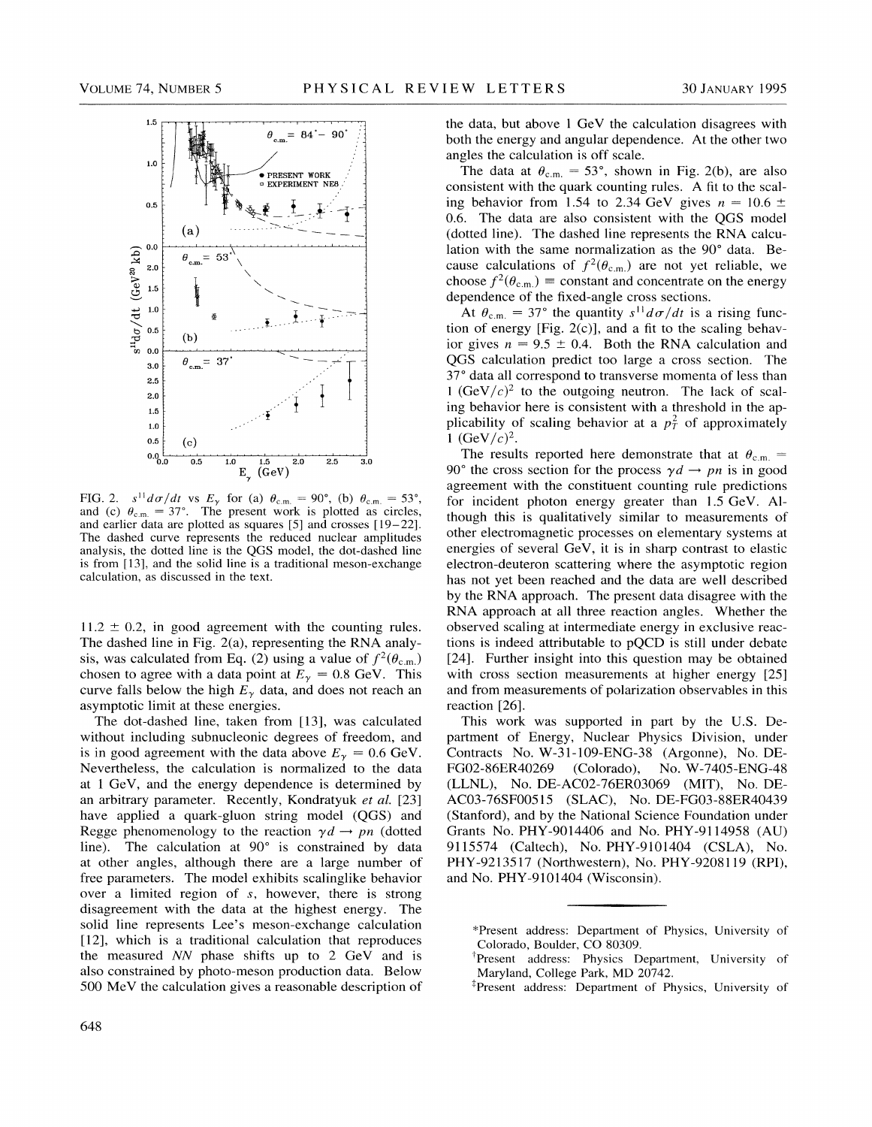

FIG. 2.  $s^{11}d\sigma/dt$  vs  $E_{\gamma}$  for (a)  $\theta_{\text{c.m.}} = 90^{\circ}$ , (b)  $\theta_{\text{c.m.}} = 53^{\circ}$ , and (c)  $\theta_{\text{c.m.}} = 37^{\circ}$ . The present work is plotted as circles, and earlier data are plotted as squares [5] and crosses [19-22]. The dashed curve represents the reduced nuclear amplitudes analysis, the dotted line is the QGS model, the dot-dashed line is from [13], and the solid line is a traditional meson-exchange calculation, as discussed in the text.

 $11.2 \pm 0.2$ , in good agreement with the counting rules. The dashed line in Fig. 2(a), representing the RNA analysis, was calculated from Eq. (2) using a value of  $f^2(\theta_{c.m.})$ chosen to agree with a data point at  $E_{\gamma} = 0.8$  GeV. This curve falls below the high  $E_y$  data, and does not reach an asymptotic limit at these energies.

The dot-dashed line, taken from [13], was calculated without including subnucleonic degrees of freedom, and is in good agreement with the data above  $E_{\gamma} = 0.6$  GeV. Nevertheless, the calculation is normalized to the data at 1 GeV, and the energy dependence is determined by an arbitrary parameter. Recently, Kondratyuk *et al.* [23] have applied a quark-gluon string model (QGS) and Regge phenomenology to the reaction  $\gamma d \rightarrow pn$  (dotted line). The calculation at 90° is constrained by data at other angles, although there are a large number of free parameters. The model exhibits scalinglike behavior over a limited region of *s,* however, there is strong disagreement with the data at the highest energy. The solid line represents Lee's meson-exchange calculation [12], which is a traditional calculation that reproduces the measured *NN* phase shifts up to 2 GeV and is also constrained by photo-meson production data. Below 500 MeV the calculation gives a reasonable description of

the data, but above  $1 \text{ GeV}$  the calculation disagrees with both the energy and angular dependence. At the other two angles the calculation is off scale.

The data at  $\theta_{\text{c.m.}} = 53^{\circ}$ , shown in Fig. 2(b), are also consistent with the quark counting rules. A fit to the scaling behavior from 1.54 to 2.34 GeV gives  $n = 10.6 \pm$ 0.6. The data are also consistent with the QGS model (dotted line). The dashed line represents the RNA calculation with the same normalization as the 90° data. Because calculations of  $f^2(\theta_{\text{c.m.}})$  are not yet reliable, we choose  $f^2(\theta_{c.m.})$  = constant and concentrate on the energy dependence of the fixed-angle cross sections.

At  $\theta_{\text{c.m.}} = 37^{\circ}$  the quantity  $s^{11} d\sigma/dt$  is a rising function of energy [Fig. 2(c)], and a fit to the scaling behavior gives  $n = 9.5 \pm 0.4$ . Both the RNA calculation and QGS calculation predict too large a cross section. The 37° data all correspond to transverse momenta of less than 1  $(GeV/c)^2$  to the outgoing neutron. The lack of scaling behavior here is consistent with a threshold in the applicability of scaling behavior at a  $p_T^2$  of approximately 1 (GeV/ $c$ )<sup>2</sup>.

The results reported here demonstrate that at  $\theta_{\text{c.m.}} =$ 90° the cross section for the process  $\gamma d \rightarrow pn$  is in good agreement with the constituent counting rule predictions for incident photon energy greater than 1.5 GeV. Although this is qualitatively similar to measurements of other electromagnetic processes on elementary systems at energies of several GeV, it is in sharp contrast to elastic electron-deuteron scattering where the asymptotic region has not yet been reached and the data are well described by the RNA approach. The present data disagree with the RNA approach at all three reaction angles. Whether the observed scaling at intermediate energy in exclusive reactions is indeed attributable to pQCD is still under debate [24]. Further insight into this question may be obtained with cross section measurements at higher energy [25] and from measurements of polarization observables in this reaction [26].

This work was supported in part by the U.S. Department of Energy, Nuclear Physics Division, under Contracts No. W-31-109-ENG-38 (Argonne), No. DE-(Colorado), No. W-7405-ENG-48 (LLNL), No. DE-AC02-76ER03069 (MIT), No. DE-AC03-76SF00515 (SLAC), No. DE-FG03-88ER40439 (Stanford), and by the National Science Foundation under Grants No. PHY-9014406 and No. PHY-9114958 (AU) 9115574 (Caltech), No. PHY-9101404 (CSLA), No. PHY-9213517 (Northwestern), No. PHY-9208119 (RPI), and No. PHY-9101404 (Wisconsin).

\*Present address: Department of Physics, University of Colorado, Boulder, CO 80309.

\*Present address: Department of Physics, University of

<sup>&</sup>lt;sup>†</sup>Present address: Physics Department, University of Maryland, College Park, MD 20742.